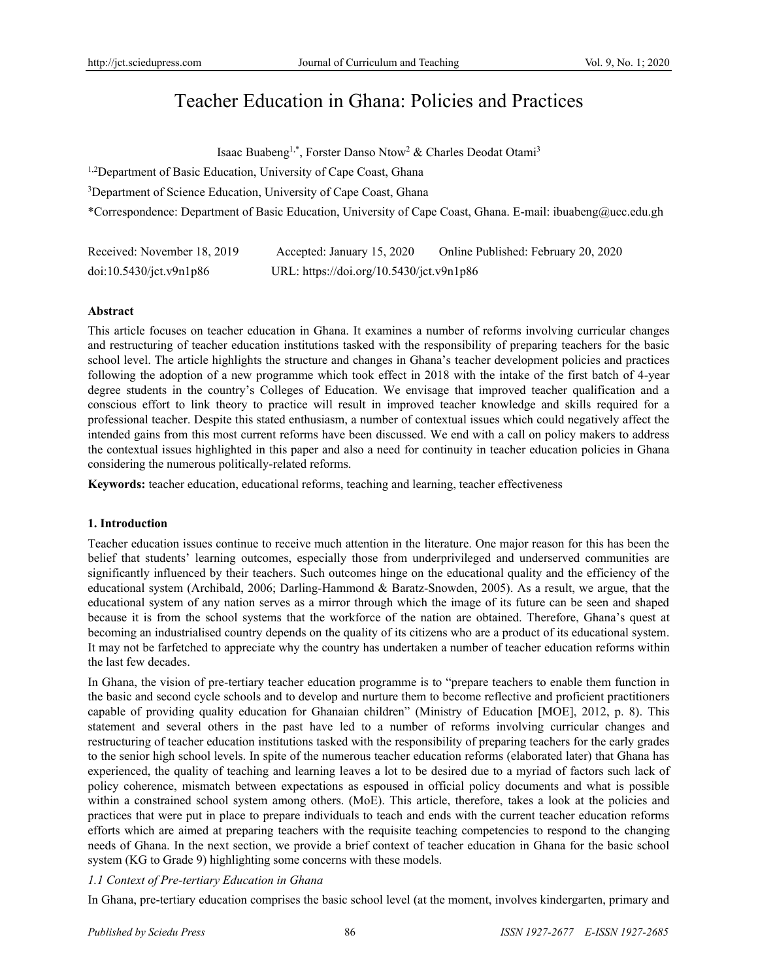# Teacher Education in Ghana: Policies and Practices

Isaac Buabeng<sup>1,\*</sup>, Forster Danso Ntow<sup>2</sup> & Charles Deodat Otami<sup>3</sup>

<sup>1,2</sup>Department of Basic Education, University of Cape Coast, Ghana

<sup>3</sup>Department of Science Education, University of Cape Coast, Ghana

\*Correspondence: Department of Basic Education, University of Cape Coast, Ghana. E-mail: ibuabeng@ucc.edu.gh

| Received: November 18, 2019 | Accepted: January 15, 2020               | Online Published: February 20, 2020 |
|-----------------------------|------------------------------------------|-------------------------------------|
| doi:10.5430/jct.v9n1p86     | URL: https://doi.org/10.5430/jct.v9n1p86 |                                     |

### **Abstract**

This article focuses on teacher education in Ghana. It examines a number of reforms involving curricular changes and restructuring of teacher education institutions tasked with the responsibility of preparing teachers for the basic school level. The article highlights the structure and changes in Ghana's teacher development policies and practices following the adoption of a new programme which took effect in 2018 with the intake of the first batch of 4-year degree students in the country's Colleges of Education. We envisage that improved teacher qualification and a conscious effort to link theory to practice will result in improved teacher knowledge and skills required for a professional teacher. Despite this stated enthusiasm, a number of contextual issues which could negatively affect the intended gains from this most current reforms have been discussed. We end with a call on policy makers to address the contextual issues highlighted in this paper and also a need for continuity in teacher education policies in Ghana considering the numerous politically-related reforms.

**Keywords:** teacher education, educational reforms, teaching and learning, teacher effectiveness

## **1. Introduction**

Teacher education issues continue to receive much attention in the literature. One major reason for this has been the belief that students' learning outcomes, especially those from underprivileged and underserved communities are significantly influenced by their teachers. Such outcomes hinge on the educational quality and the efficiency of the educational system (Archibald, 2006; Darling-Hammond & Baratz-Snowden, 2005). As a result, we argue, that the educational system of any nation serves as a mirror through which the image of its future can be seen and shaped because it is from the school systems that the workforce of the nation are obtained. Therefore, Ghana's quest at becoming an industrialised country depends on the quality of its citizens who are a product of its educational system. It may not be farfetched to appreciate why the country has undertaken a number of teacher education reforms within the last few decades.

In Ghana, the vision of pre-tertiary teacher education programme is to "prepare teachers to enable them function in the basic and second cycle schools and to develop and nurture them to become reflective and proficient practitioners capable of providing quality education for Ghanaian children" (Ministry of Education [MOE], 2012, p. 8). This statement and several others in the past have led to a number of reforms involving curricular changes and restructuring of teacher education institutions tasked with the responsibility of preparing teachers for the early grades to the senior high school levels. In spite of the numerous teacher education reforms (elaborated later) that Ghana has experienced, the quality of teaching and learning leaves a lot to be desired due to a myriad of factors such lack of policy coherence, mismatch between expectations as espoused in official policy documents and what is possible within a constrained school system among others. (MoE). This article, therefore, takes a look at the policies and practices that were put in place to prepare individuals to teach and ends with the current teacher education reforms efforts which are aimed at preparing teachers with the requisite teaching competencies to respond to the changing needs of Ghana. In the next section, we provide a brief context of teacher education in Ghana for the basic school system (KG to Grade 9) highlighting some concerns with these models.

## *1.1 Context of Pre-tertiary Education in Ghana*

In Ghana, pre-tertiary education comprises the basic school level (at the moment, involves kindergarten, primary and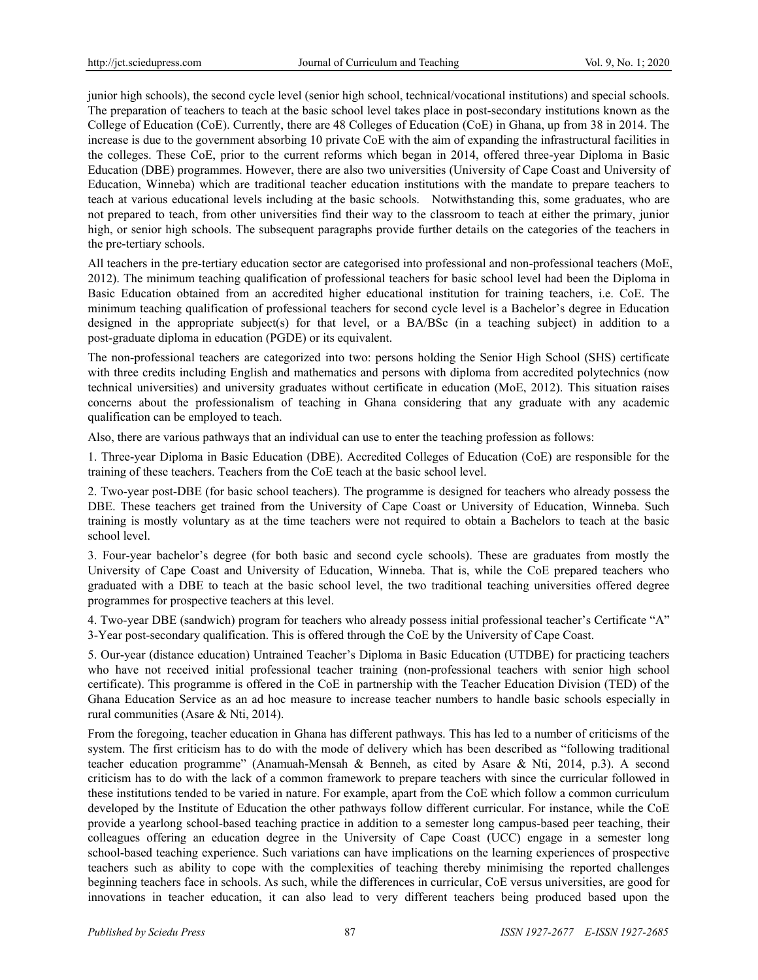junior high schools), the second cycle level (senior high school, technical/vocational institutions) and special schools. The preparation of teachers to teach at the basic school level takes place in post-secondary institutions known as the College of Education (CoE). Currently, there are 48 Colleges of Education (CoE) in Ghana, up from 38 in 2014. The increase is due to the government absorbing 10 private CoE with the aim of expanding the infrastructural facilities in the colleges. These CoE, prior to the current reforms which began in 2014, offered three-year Diploma in Basic Education (DBE) programmes. However, there are also two universities (University of Cape Coast and University of Education, Winneba) which are traditional teacher education institutions with the mandate to prepare teachers to teach at various educational levels including at the basic schools. Notwithstanding this, some graduates, who are not prepared to teach, from other universities find their way to the classroom to teach at either the primary, junior high, or senior high schools. The subsequent paragraphs provide further details on the categories of the teachers in the pre-tertiary schools.

All teachers in the pre-tertiary education sector are categorised into professional and non-professional teachers (MoE, 2012). The minimum teaching qualification of professional teachers for basic school level had been the Diploma in Basic Education obtained from an accredited higher educational institution for training teachers, i.e. CoE. The minimum teaching qualification of professional teachers for second cycle level is a Bachelor's degree in Education designed in the appropriate subject(s) for that level, or a BA/BSc (in a teaching subject) in addition to a post-graduate diploma in education (PGDE) or its equivalent.

The non-professional teachers are categorized into two: persons holding the Senior High School (SHS) certificate with three credits including English and mathematics and persons with diploma from accredited polytechnics (now technical universities) and university graduates without certificate in education (MoE, 2012). This situation raises concerns about the professionalism of teaching in Ghana considering that any graduate with any academic qualification can be employed to teach.

Also, there are various pathways that an individual can use to enter the teaching profession as follows:

1. Three-year Diploma in Basic Education (DBE). Accredited Colleges of Education (CoE) are responsible for the training of these teachers. Teachers from the CoE teach at the basic school level.

2. Two-year post-DBE (for basic school teachers). The programme is designed for teachers who already possess the DBE. These teachers get trained from the University of Cape Coast or University of Education, Winneba. Such training is mostly voluntary as at the time teachers were not required to obtain a Bachelors to teach at the basic school level.

3. Four-year bachelor's degree (for both basic and second cycle schools). These are graduates from mostly the University of Cape Coast and University of Education, Winneba. That is, while the CoE prepared teachers who graduated with a DBE to teach at the basic school level, the two traditional teaching universities offered degree programmes for prospective teachers at this level.

4. Two-year DBE (sandwich) program for teachers who already possess initial professional teacher's Certificate "A" 3-Year post-secondary qualification. This is offered through the CoE by the University of Cape Coast.

5. Our-year (distance education) Untrained Teacher's Diploma in Basic Education (UTDBE) for practicing teachers who have not received initial professional teacher training (non-professional teachers with senior high school certificate). This programme is offered in the CoE in partnership with the Teacher Education Division (TED) of the Ghana Education Service as an ad hoc measure to increase teacher numbers to handle basic schools especially in rural communities (Asare & Nti, 2014).

From the foregoing, teacher education in Ghana has different pathways. This has led to a number of criticisms of the system. The first criticism has to do with the mode of delivery which has been described as "following traditional teacher education programme" (Anamuah-Mensah & Benneh, as cited by Asare & Nti, 2014, p.3). A second criticism has to do with the lack of a common framework to prepare teachers with since the curricular followed in these institutions tended to be varied in nature. For example, apart from the CoE which follow a common curriculum developed by the Institute of Education the other pathways follow different curricular. For instance, while the CoE provide a yearlong school-based teaching practice in addition to a semester long campus-based peer teaching, their colleagues offering an education degree in the University of Cape Coast (UCC) engage in a semester long school-based teaching experience. Such variations can have implications on the learning experiences of prospective teachers such as ability to cope with the complexities of teaching thereby minimising the reported challenges beginning teachers face in schools. As such, while the differences in curricular, CoE versus universities, are good for innovations in teacher education, it can also lead to very different teachers being produced based upon the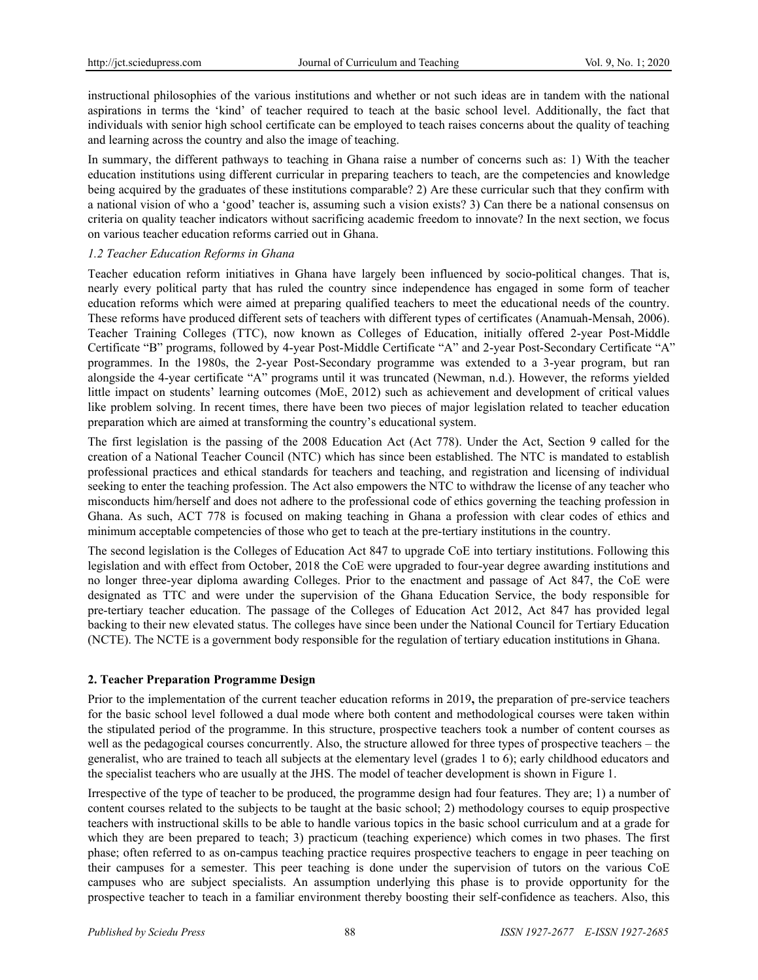instructional philosophies of the various institutions and whether or not such ideas are in tandem with the national aspirations in terms the 'kind' of teacher required to teach at the basic school level. Additionally, the fact that individuals with senior high school certificate can be employed to teach raises concerns about the quality of teaching and learning across the country and also the image of teaching.

In summary, the different pathways to teaching in Ghana raise a number of concerns such as: 1) With the teacher education institutions using different curricular in preparing teachers to teach, are the competencies and knowledge being acquired by the graduates of these institutions comparable? 2) Are these curricular such that they confirm with a national vision of who a 'good' teacher is, assuming such a vision exists? 3) Can there be a national consensus on criteria on quality teacher indicators without sacrificing academic freedom to innovate? In the next section, we focus on various teacher education reforms carried out in Ghana.

### *1.2 Teacher Education Reforms in Ghana*

Teacher education reform initiatives in Ghana have largely been influenced by socio-political changes. That is, nearly every political party that has ruled the country since independence has engaged in some form of teacher education reforms which were aimed at preparing qualified teachers to meet the educational needs of the country. These reforms have produced different sets of teachers with different types of certificates (Anamuah-Mensah, 2006). Teacher Training Colleges (TTC), now known as Colleges of Education, initially offered 2-year Post-Middle Certificate "B" programs, followed by 4-year Post-Middle Certificate "A" and 2-year Post-Secondary Certificate "A" programmes. In the 1980s, the 2-year Post-Secondary programme was extended to a 3-year program, but ran alongside the 4-year certificate "A" programs until it was truncated (Newman, n.d.). However, the reforms yielded little impact on students' learning outcomes (MoE, 2012) such as achievement and development of critical values like problem solving. In recent times, there have been two pieces of major legislation related to teacher education preparation which are aimed at transforming the country's educational system.

The first legislation is the passing of the 2008 Education Act (Act 778). Under the Act, Section 9 called for the creation of a National Teacher Council (NTC) which has since been established. The NTC is mandated to establish professional practices and ethical standards for teachers and teaching, and registration and licensing of individual seeking to enter the teaching profession. The Act also empowers the NTC to withdraw the license of any teacher who misconducts him/herself and does not adhere to the professional code of ethics governing the teaching profession in Ghana. As such, ACT 778 is focused on making teaching in Ghana a profession with clear codes of ethics and minimum acceptable competencies of those who get to teach at the pre-tertiary institutions in the country.

The second legislation is the Colleges of Education Act 847 to upgrade CoE into tertiary institutions. Following this legislation and with effect from October, 2018 the CoE were upgraded to four-year degree awarding institutions and no longer three-year diploma awarding Colleges. Prior to the enactment and passage of Act 847, the CoE were designated as TTC and were under the supervision of the Ghana Education Service, the body responsible for pre-tertiary teacher education. The passage of the Colleges of Education Act 2012, Act 847 has provided legal backing to their new elevated status. The colleges have since been under the National Council for Tertiary Education (NCTE). The NCTE is a government body responsible for the regulation of tertiary education institutions in Ghana.

## **2. Teacher Preparation Programme Design**

Prior to the implementation of the current teacher education reforms in 2019**,** the preparation of pre-service teachers for the basic school level followed a dual mode where both content and methodological courses were taken within the stipulated period of the programme. In this structure, prospective teachers took a number of content courses as well as the pedagogical courses concurrently. Also, the structure allowed for three types of prospective teachers – the generalist, who are trained to teach all subjects at the elementary level (grades 1 to 6); early childhood educators and the specialist teachers who are usually at the JHS. The model of teacher development is shown in Figure 1.

Irrespective of the type of teacher to be produced, the programme design had four features. They are; 1) a number of content courses related to the subjects to be taught at the basic school; 2) methodology courses to equip prospective teachers with instructional skills to be able to handle various topics in the basic school curriculum and at a grade for which they are been prepared to teach; 3) practicum (teaching experience) which comes in two phases. The first phase; often referred to as on-campus teaching practice requires prospective teachers to engage in peer teaching on their campuses for a semester. This peer teaching is done under the supervision of tutors on the various CoE campuses who are subject specialists. An assumption underlying this phase is to provide opportunity for the prospective teacher to teach in a familiar environment thereby boosting their self-confidence as teachers. Also, this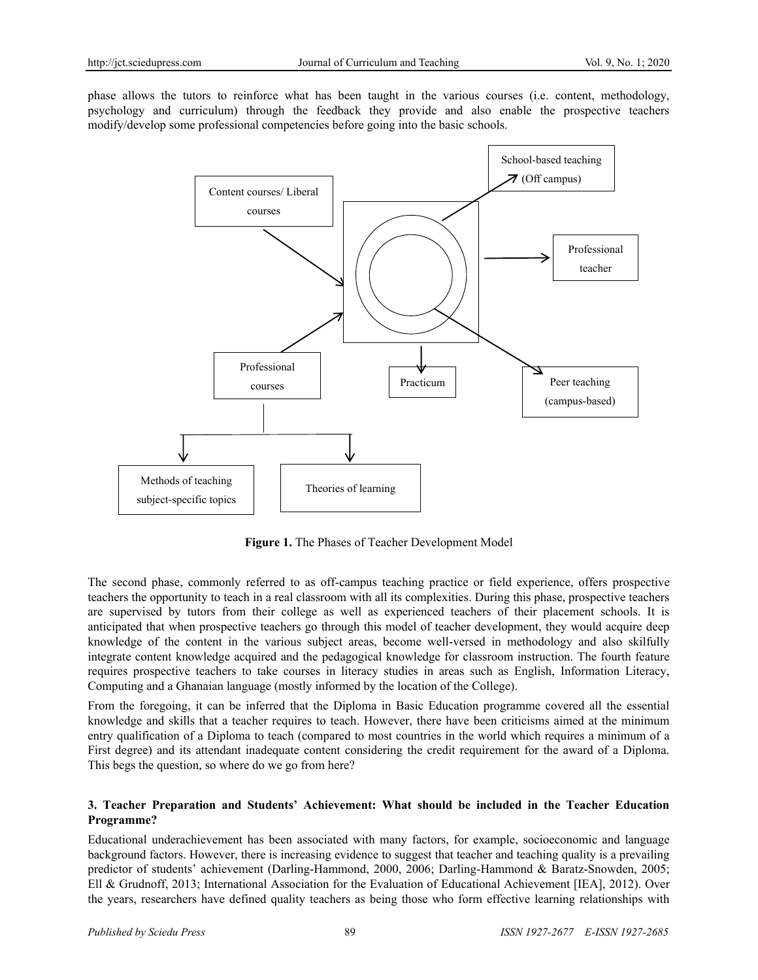phase allows the tutors to reinforce what has been taught in the various courses (i.e. content, methodology, psychology and curriculum) through the feedback they provide and also enable the prospective teachers modify/develop some professional competencies before going into the basic schools.



**Figure 1.** The Phases of Teacher Development Model

The second phase, commonly referred to as off-campus teaching practice or field experience, offers prospective teachers the opportunity to teach in a real classroom with all its complexities. During this phase, prospective teachers are supervised by tutors from their college as well as experienced teachers of their placement schools. It is anticipated that when prospective teachers go through this model of teacher development, they would acquire deep knowledge of the content in the various subject areas, become well-versed in methodology and also skilfully integrate content knowledge acquired and the pedagogical knowledge for classroom instruction. The fourth feature requires prospective teachers to take courses in literacy studies in areas such as English, Information Literacy, Computing and a Ghanaian language (mostly informed by the location of the College).

From the foregoing, it can be inferred that the Diploma in Basic Education programme covered all the essential knowledge and skills that a teacher requires to teach. However, there have been criticisms aimed at the minimum entry qualification of a Diploma to teach (compared to most countries in the world which requires a minimum of a First degree) and its attendant inadequate content considering the credit requirement for the award of a Diploma. This begs the question, so where do we go from here?

### **3. Teacher Preparation and Students' Achievement: What should be included in the Teacher Education Programme?**

Educational underachievement has been associated with many factors, for example, socioeconomic and language background factors. However, there is increasing evidence to suggest that teacher and teaching quality is a prevailing predictor of students' achievement (Darling-Hammond, 2000, 2006; Darling-Hammond & Baratz-Snowden, 2005; Ell & Grudnoff, 2013; International Association for the Evaluation of Educational Achievement [IEA], 2012). Over the years, researchers have defined quality teachers as being those who form effective learning relationships with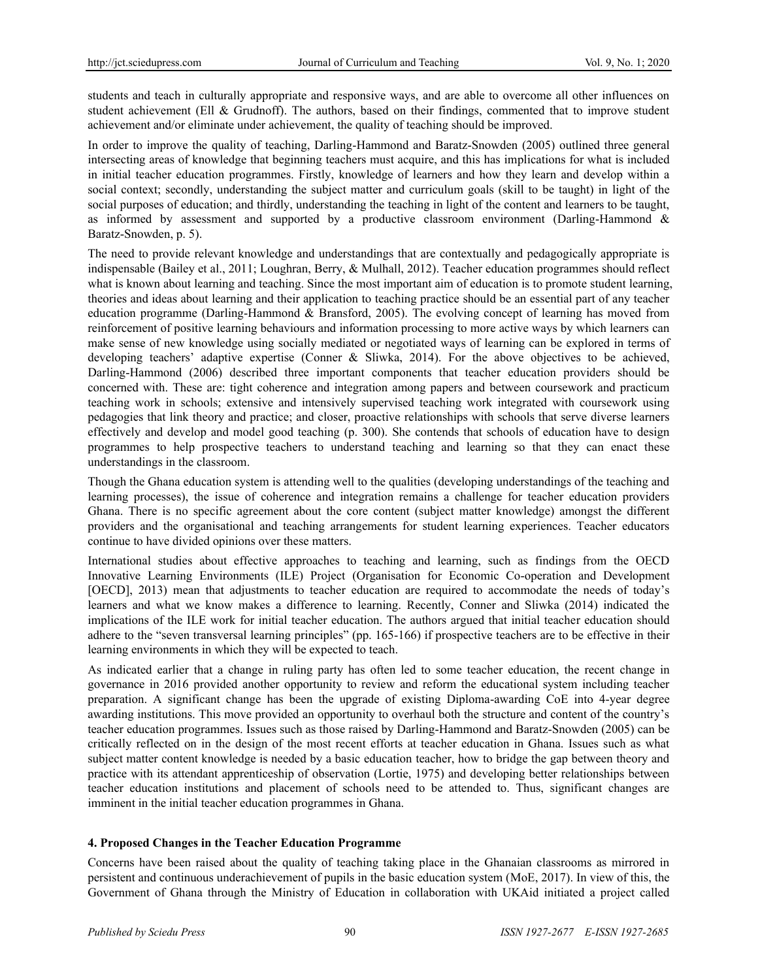students and teach in culturally appropriate and responsive ways, and are able to overcome all other influences on student achievement (Ell & Grudnoff). The authors, based on their findings, commented that to improve student achievement and/or eliminate under achievement, the quality of teaching should be improved.

In order to improve the quality of teaching, Darling-Hammond and Baratz-Snowden (2005) outlined three general intersecting areas of knowledge that beginning teachers must acquire, and this has implications for what is included in initial teacher education programmes. Firstly, knowledge of learners and how they learn and develop within a social context; secondly, understanding the subject matter and curriculum goals (skill to be taught) in light of the social purposes of education; and thirdly, understanding the teaching in light of the content and learners to be taught, as informed by assessment and supported by a productive classroom environment (Darling-Hammond & Baratz-Snowden, p. 5).

The need to provide relevant knowledge and understandings that are contextually and pedagogically appropriate is indispensable (Bailey et al., 2011; Loughran, Berry, & Mulhall, 2012). Teacher education programmes should reflect what is known about learning and teaching. Since the most important aim of education is to promote student learning, theories and ideas about learning and their application to teaching practice should be an essential part of any teacher education programme (Darling-Hammond & Bransford, 2005). The evolving concept of learning has moved from reinforcement of positive learning behaviours and information processing to more active ways by which learners can make sense of new knowledge using socially mediated or negotiated ways of learning can be explored in terms of developing teachers' adaptive expertise (Conner & Sliwka, 2014). For the above objectives to be achieved, Darling-Hammond (2006) described three important components that teacher education providers should be concerned with. These are: tight coherence and integration among papers and between coursework and practicum teaching work in schools; extensive and intensively supervised teaching work integrated with coursework using pedagogies that link theory and practice; and closer, proactive relationships with schools that serve diverse learners effectively and develop and model good teaching (p. 300). She contends that schools of education have to design programmes to help prospective teachers to understand teaching and learning so that they can enact these understandings in the classroom.

Though the Ghana education system is attending well to the qualities (developing understandings of the teaching and learning processes), the issue of coherence and integration remains a challenge for teacher education providers Ghana. There is no specific agreement about the core content (subject matter knowledge) amongst the different providers and the organisational and teaching arrangements for student learning experiences. Teacher educators continue to have divided opinions over these matters.

International studies about effective approaches to teaching and learning, such as findings from the OECD Innovative Learning Environments (ILE) Project (Organisation for Economic Co-operation and Development [OECD], 2013) mean that adjustments to teacher education are required to accommodate the needs of today's learners and what we know makes a difference to learning. Recently, Conner and Sliwka (2014) indicated the implications of the ILE work for initial teacher education. The authors argued that initial teacher education should adhere to the "seven transversal learning principles" (pp. 165-166) if prospective teachers are to be effective in their learning environments in which they will be expected to teach.

As indicated earlier that a change in ruling party has often led to some teacher education, the recent change in governance in 2016 provided another opportunity to review and reform the educational system including teacher preparation. A significant change has been the upgrade of existing Diploma-awarding CoE into 4-year degree awarding institutions. This move provided an opportunity to overhaul both the structure and content of the country's teacher education programmes. Issues such as those raised by Darling-Hammond and Baratz-Snowden (2005) can be critically reflected on in the design of the most recent efforts at teacher education in Ghana. Issues such as what subject matter content knowledge is needed by a basic education teacher, how to bridge the gap between theory and practice with its attendant apprenticeship of observation (Lortie, 1975) and developing better relationships between teacher education institutions and placement of schools need to be attended to. Thus, significant changes are imminent in the initial teacher education programmes in Ghana.

## **4. Proposed Changes in the Teacher Education Programme**

Concerns have been raised about the quality of teaching taking place in the Ghanaian classrooms as mirrored in persistent and continuous underachievement of pupils in the basic education system (MoE, 2017). In view of this, the Government of Ghana through the Ministry of Education in collaboration with UKAid initiated a project called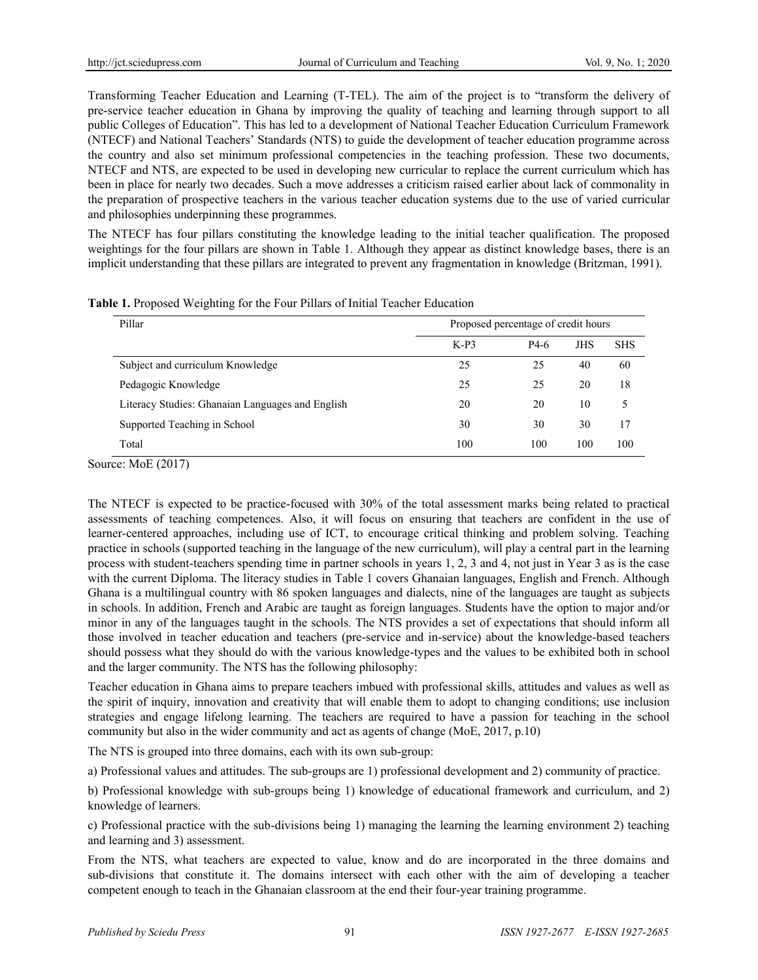Transforming Teacher Education and Learning (T-TEL). The aim of the project is to "transform the delivery of pre-service teacher education in Ghana by improving the quality of teaching and learning through support to all public Colleges of Education". This has led to a development of National Teacher Education Curriculum Framework (NTECF) and National Teachers' Standards (NTS) to guide the development of teacher education programme across the country and also set minimum professional competencies in the teaching profession. These two documents, NTECF and NTS, are expected to be used in developing new curricular to replace the current curriculum which has been in place for nearly two decades. Such a move addresses a criticism raised earlier about lack of commonality in the preparation of prospective teachers in the various teacher education systems due to the use of varied curricular and philosophies underpinning these programmes.

The NTECF has four pillars constituting the knowledge leading to the initial teacher qualification. The proposed weightings for the four pillars are shown in Table 1. Although they appear as distinct knowledge bases, there is an implicit understanding that these pillars are integrated to prevent any fragmentation in knowledge (Britzman, 1991).

| Pillar                                           | Proposed percentage of credit hours |      |            |            |
|--------------------------------------------------|-------------------------------------|------|------------|------------|
|                                                  | $K-P3$                              | P4-6 | <b>JHS</b> | <b>SHS</b> |
| Subject and curriculum Knowledge                 | 25                                  | 25   | 40         | 60         |
| Pedagogic Knowledge                              | 25                                  | 25   | 20         | 18         |
| Literacy Studies: Ghanaian Languages and English | 20                                  | 20   | 10         | 5          |
| Supported Teaching in School                     | 30                                  | 30   | 30         | 17         |
| Total                                            | 100                                 | 100  | 100        | 100        |

**Table 1.** Proposed Weighting for the Four Pillars of Initial Teacher Education

Source: MoE (2017)

The NTECF is expected to be practice-focused with 30% of the total assessment marks being related to practical assessments of teaching competences. Also, it will focus on ensuring that teachers are confident in the use of learner-centered approaches, including use of ICT, to encourage critical thinking and problem solving. Teaching practice in schools (supported teaching in the language of the new curriculum), will play a central part in the learning process with student-teachers spending time in partner schools in years 1, 2, 3 and 4, not just in Year 3 as is the case with the current Diploma. The literacy studies in Table 1 covers Ghanaian languages, English and French. Although Ghana is a multilingual country with 86 spoken languages and dialects, nine of the languages are taught as subjects in schools. In addition, French and Arabic are taught as foreign languages. Students have the option to major and/or minor in any of the languages taught in the schools. The NTS provides a set of expectations that should inform all those involved in teacher education and teachers (pre-service and in-service) about the knowledge-based teachers should possess what they should do with the various knowledge-types and the values to be exhibited both in school and the larger community. The NTS has the following philosophy:

Teacher education in Ghana aims to prepare teachers imbued with professional skills, attitudes and values as well as the spirit of inquiry, innovation and creativity that will enable them to adopt to changing conditions; use inclusion strategies and engage lifelong learning. The teachers are required to have a passion for teaching in the school community but also in the wider community and act as agents of change (MoE, 2017, p.10)

The NTS is grouped into three domains, each with its own sub-group:

a) Professional values and attitudes. The sub-groups are 1) professional development and 2) community of practice.

b) Professional knowledge with sub-groups being 1) knowledge of educational framework and curriculum, and 2) knowledge of learners.

c) Professional practice with the sub-divisions being 1) managing the learning the learning environment 2) teaching and learning and 3) assessment.

From the NTS, what teachers are expected to value, know and do are incorporated in the three domains and sub-divisions that constitute it. The domains intersect with each other with the aim of developing a teacher competent enough to teach in the Ghanaian classroom at the end their four-year training programme.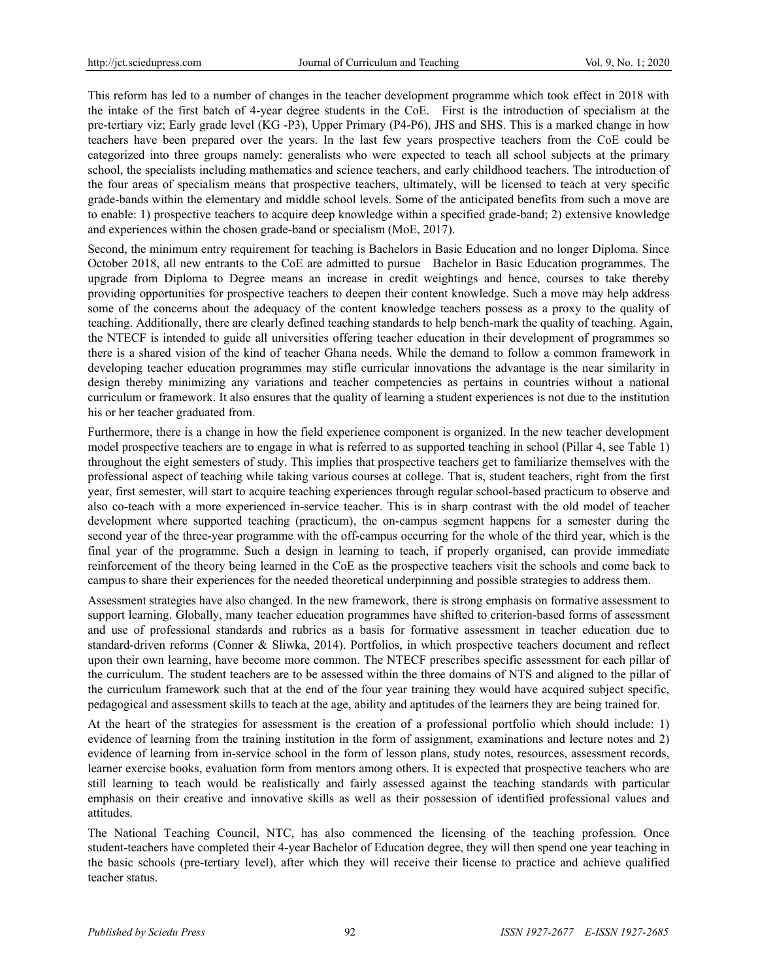This reform has led to a number of changes in the teacher development programme which took effect in 2018 with the intake of the first batch of 4-year degree students in the CoE. First is the introduction of specialism at the pre-tertiary viz; Early grade level (KG -P3), Upper Primary (P4-P6), JHS and SHS. This is a marked change in how teachers have been prepared over the years. In the last few years prospective teachers from the CoE could be categorized into three groups namely: generalists who were expected to teach all school subjects at the primary school, the specialists including mathematics and science teachers, and early childhood teachers. The introduction of the four areas of specialism means that prospective teachers, ultimately, will be licensed to teach at very specific grade-bands within the elementary and middle school levels. Some of the anticipated benefits from such a move are to enable: 1) prospective teachers to acquire deep knowledge within a specified grade-band; 2) extensive knowledge and experiences within the chosen grade-band or specialism (MoE, 2017).

Second, the minimum entry requirement for teaching is Bachelors in Basic Education and no longer Diploma. Since October 2018, all new entrants to the CoE are admitted to pursue Bachelor in Basic Education programmes. The upgrade from Diploma to Degree means an increase in credit weightings and hence, courses to take thereby providing opportunities for prospective teachers to deepen their content knowledge. Such a move may help address some of the concerns about the adequacy of the content knowledge teachers possess as a proxy to the quality of teaching. Additionally, there are clearly defined teaching standards to help bench-mark the quality of teaching. Again, the NTECF is intended to guide all universities offering teacher education in their development of programmes so there is a shared vision of the kind of teacher Ghana needs. While the demand to follow a common framework in developing teacher education programmes may stifle curricular innovations the advantage is the near similarity in design thereby minimizing any variations and teacher competencies as pertains in countries without a national curriculum or framework. It also ensures that the quality of learning a student experiences is not due to the institution his or her teacher graduated from.

Furthermore, there is a change in how the field experience component is organized. In the new teacher development model prospective teachers are to engage in what is referred to as supported teaching in school (Pillar 4, see Table 1) throughout the eight semesters of study. This implies that prospective teachers get to familiarize themselves with the professional aspect of teaching while taking various courses at college. That is, student teachers, right from the first year, first semester, will start to acquire teaching experiences through regular school-based practicum to observe and also co-teach with a more experienced in-service teacher. This is in sharp contrast with the old model of teacher development where supported teaching (practicum), the on-campus segment happens for a semester during the second year of the three-year programme with the off-campus occurring for the whole of the third year, which is the final year of the programme. Such a design in learning to teach, if properly organised, can provide immediate reinforcement of the theory being learned in the CoE as the prospective teachers visit the schools and come back to campus to share their experiences for the needed theoretical underpinning and possible strategies to address them.

Assessment strategies have also changed. In the new framework, there is strong emphasis on formative assessment to support learning. Globally, many teacher education programmes have shifted to criterion-based forms of assessment and use of professional standards and rubrics as a basis for formative assessment in teacher education due to standard-driven reforms (Conner & Sliwka, 2014). Portfolios, in which prospective teachers document and reflect upon their own learning, have become more common. The NTECF prescribes specific assessment for each pillar of the curriculum. The student teachers are to be assessed within the three domains of NTS and aligned to the pillar of the curriculum framework such that at the end of the four year training they would have acquired subject specific, pedagogical and assessment skills to teach at the age, ability and aptitudes of the learners they are being trained for.

At the heart of the strategies for assessment is the creation of a professional portfolio which should include: 1) evidence of learning from the training institution in the form of assignment, examinations and lecture notes and 2) evidence of learning from in-service school in the form of lesson plans, study notes, resources, assessment records, learner exercise books, evaluation form from mentors among others. It is expected that prospective teachers who are still learning to teach would be realistically and fairly assessed against the teaching standards with particular emphasis on their creative and innovative skills as well as their possession of identified professional values and attitudes.

The National Teaching Council, NTC, has also commenced the licensing of the teaching profession. Once student-teachers have completed their 4-year Bachelor of Education degree, they will then spend one year teaching in the basic schools (pre-tertiary level), after which they will receive their license to practice and achieve qualified teacher status.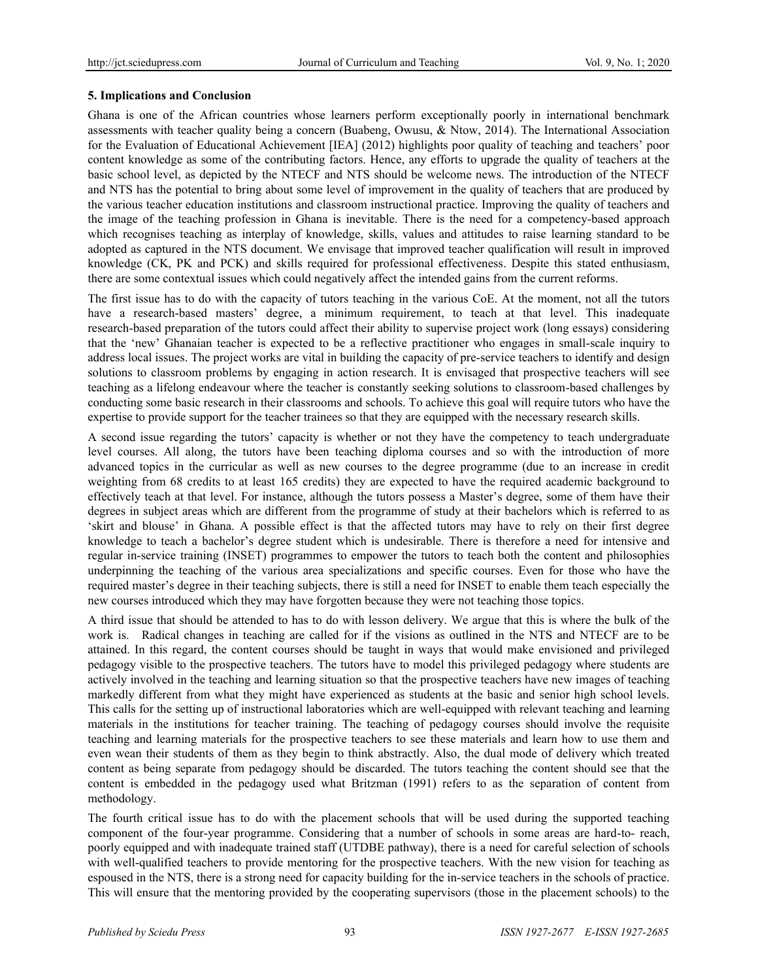#### **5. Implications and Conclusion**

Ghana is one of the African countries whose learners perform exceptionally poorly in international benchmark assessments with teacher quality being a concern (Buabeng, Owusu, & Ntow, 2014). The International Association for the Evaluation of Educational Achievement [IEA] (2012) highlights poor quality of teaching and teachers' poor content knowledge as some of the contributing factors. Hence, any efforts to upgrade the quality of teachers at the basic school level, as depicted by the NTECF and NTS should be welcome news. The introduction of the NTECF and NTS has the potential to bring about some level of improvement in the quality of teachers that are produced by the various teacher education institutions and classroom instructional practice. Improving the quality of teachers and the image of the teaching profession in Ghana is inevitable. There is the need for a competency-based approach which recognises teaching as interplay of knowledge, skills, values and attitudes to raise learning standard to be adopted as captured in the NTS document. We envisage that improved teacher qualification will result in improved knowledge (CK, PK and PCK) and skills required for professional effectiveness. Despite this stated enthusiasm, there are some contextual issues which could negatively affect the intended gains from the current reforms.

The first issue has to do with the capacity of tutors teaching in the various CoE. At the moment, not all the tutors have a research-based masters' degree, a minimum requirement, to teach at that level. This inadequate research-based preparation of the tutors could affect their ability to supervise project work (long essays) considering that the 'new' Ghanaian teacher is expected to be a reflective practitioner who engages in small-scale inquiry to address local issues. The project works are vital in building the capacity of pre-service teachers to identify and design solutions to classroom problems by engaging in action research. It is envisaged that prospective teachers will see teaching as a lifelong endeavour where the teacher is constantly seeking solutions to classroom-based challenges by conducting some basic research in their classrooms and schools. To achieve this goal will require tutors who have the expertise to provide support for the teacher trainees so that they are equipped with the necessary research skills.

A second issue regarding the tutors' capacity is whether or not they have the competency to teach undergraduate level courses. All along, the tutors have been teaching diploma courses and so with the introduction of more advanced topics in the curricular as well as new courses to the degree programme (due to an increase in credit weighting from 68 credits to at least 165 credits) they are expected to have the required academic background to effectively teach at that level. For instance, although the tutors possess a Master's degree, some of them have their degrees in subject areas which are different from the programme of study at their bachelors which is referred to as 'skirt and blouse' in Ghana. A possible effect is that the affected tutors may have to rely on their first degree knowledge to teach a bachelor's degree student which is undesirable. There is therefore a need for intensive and regular in-service training (INSET) programmes to empower the tutors to teach both the content and philosophies underpinning the teaching of the various area specializations and specific courses. Even for those who have the required master's degree in their teaching subjects, there is still a need for INSET to enable them teach especially the new courses introduced which they may have forgotten because they were not teaching those topics.

A third issue that should be attended to has to do with lesson delivery. We argue that this is where the bulk of the work is. Radical changes in teaching are called for if the visions as outlined in the NTS and NTECF are to be attained. In this regard, the content courses should be taught in ways that would make envisioned and privileged pedagogy visible to the prospective teachers. The tutors have to model this privileged pedagogy where students are actively involved in the teaching and learning situation so that the prospective teachers have new images of teaching markedly different from what they might have experienced as students at the basic and senior high school levels. This calls for the setting up of instructional laboratories which are well-equipped with relevant teaching and learning materials in the institutions for teacher training. The teaching of pedagogy courses should involve the requisite teaching and learning materials for the prospective teachers to see these materials and learn how to use them and even wean their students of them as they begin to think abstractly. Also, the dual mode of delivery which treated content as being separate from pedagogy should be discarded. The tutors teaching the content should see that the content is embedded in the pedagogy used what Britzman (1991) refers to as the separation of content from methodology.

The fourth critical issue has to do with the placement schools that will be used during the supported teaching component of the four-year programme. Considering that a number of schools in some areas are hard-to- reach, poorly equipped and with inadequate trained staff (UTDBE pathway), there is a need for careful selection of schools with well-qualified teachers to provide mentoring for the prospective teachers. With the new vision for teaching as espoused in the NTS, there is a strong need for capacity building for the in-service teachers in the schools of practice. This will ensure that the mentoring provided by the cooperating supervisors (those in the placement schools) to the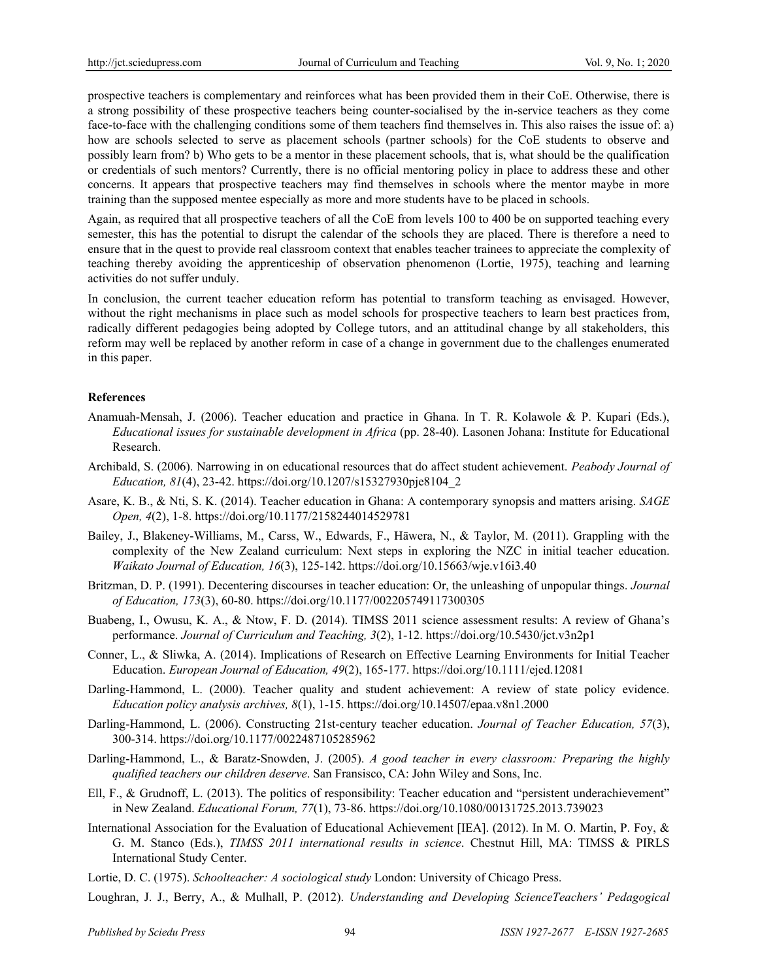prospective teachers is complementary and reinforces what has been provided them in their CoE. Otherwise, there is a strong possibility of these prospective teachers being counter-socialised by the in-service teachers as they come face-to-face with the challenging conditions some of them teachers find themselves in. This also raises the issue of: a) how are schools selected to serve as placement schools (partner schools) for the CoE students to observe and possibly learn from? b) Who gets to be a mentor in these placement schools, that is, what should be the qualification or credentials of such mentors? Currently, there is no official mentoring policy in place to address these and other concerns. It appears that prospective teachers may find themselves in schools where the mentor maybe in more training than the supposed mentee especially as more and more students have to be placed in schools.

Again, as required that all prospective teachers of all the CoE from levels 100 to 400 be on supported teaching every semester, this has the potential to disrupt the calendar of the schools they are placed. There is therefore a need to ensure that in the quest to provide real classroom context that enables teacher trainees to appreciate the complexity of teaching thereby avoiding the apprenticeship of observation phenomenon (Lortie, 1975), teaching and learning activities do not suffer unduly.

In conclusion, the current teacher education reform has potential to transform teaching as envisaged. However, without the right mechanisms in place such as model schools for prospective teachers to learn best practices from, radically different pedagogies being adopted by College tutors, and an attitudinal change by all stakeholders, this reform may well be replaced by another reform in case of a change in government due to the challenges enumerated in this paper.

### **References**

- Anamuah-Mensah, J. (2006). Teacher education and practice in Ghana. In T. R. Kolawole & P. Kupari (Eds.), *Educational issues for sustainable development in Africa* (pp. 28-40). Lasonen Johana: Institute for Educational Research.
- Archibald, S. (2006). Narrowing in on educational resources that do affect student achievement. *Peabody Journal of Education, 81*(4), 23-42. https://doi.org/10.1207/s15327930pje8104\_2
- Asare, K. B., & Nti, S. K. (2014). Teacher education in Ghana: A contemporary synopsis and matters arising. *SAGE Open, 4*(2), 1-8. https://doi.org/10.1177/2158244014529781
- Bailey, J., Blakeney-Williams, M., Carss, W., Edwards, F., Hāwera, N., & Taylor, M. (2011). Grappling with the complexity of the New Zealand curriculum: Next steps in exploring the NZC in initial teacher education. *Waikato Journal of Education, 16*(3), 125-142. https://doi.org/10.15663/wje.v16i3.40
- Britzman, D. P. (1991). Decentering discourses in teacher education: Or, the unleashing of unpopular things. *Journal of Education, 173*(3), 60-80. https://doi.org/10.1177/002205749117300305
- Buabeng, I., Owusu, K. A., & Ntow, F. D. (2014). TIMSS 2011 science assessment results: A review of Ghana's performance. *Journal of Curriculum and Teaching, 3*(2), 1-12. https://doi.org/10.5430/jct.v3n2p1
- Conner, L., & Sliwka, A. (2014). Implications of Research on Effective Learning Environments for Initial Teacher Education. *European Journal of Education, 49*(2), 165-177. https://doi.org/10.1111/ejed.12081
- Darling-Hammond, L. (2000). Teacher quality and student achievement: A review of state policy evidence. *Education policy analysis archives, 8*(1), 1-15. https://doi.org/10.14507/epaa.v8n1.2000
- Darling-Hammond, L. (2006). Constructing 21st-century teacher education. *Journal of Teacher Education, 57*(3), 300-314. https://doi.org/10.1177/0022487105285962
- Darling-Hammond, L., & Baratz-Snowden, J. (2005). *A good teacher in every classroom: Preparing the highly qualified teachers our children deserve*. San Fransisco, CA: John Wiley and Sons, Inc.
- Ell, F., & Grudnoff, L. (2013). The politics of responsibility: Teacher education and "persistent underachievement" in New Zealand. *Educational Forum, 77*(1), 73-86. https://doi.org/10.1080/00131725.2013.739023
- International Association for the Evaluation of Educational Achievement [IEA]. (2012). In M. O. Martin, P. Foy, & G. M. Stanco (Eds.), *TIMSS 2011 international results in science*. Chestnut Hill, MA: TIMSS & PIRLS International Study Center.

Lortie, D. C. (1975). *Schoolteacher: A sociological study* London: University of Chicago Press.

Loughran, J. J., Berry, A., & Mulhall, P. (2012). *Understanding and Developing ScienceTeachers' Pedagogical*